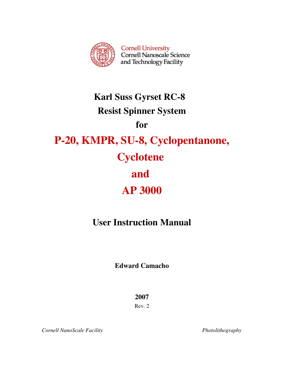

# Karl Suss Gyrset RC-8 Resist Spinner System for P-20, KMPR, SU-8, Cyclopentanone, **Cyclotene** and AP 3000

## User Instruction Manual

Edward Camacho

2007

Rev. 2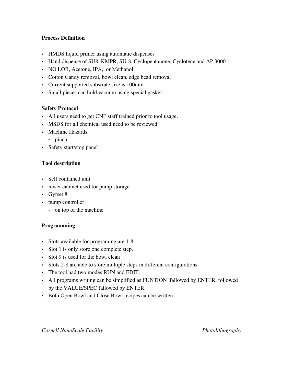#### Process Definition

- HMDS liquid primer using automatic dispenses
- Hand dispense of SU8, KMPR, SU-8, Cyclopentanone, Cyclotene and AP 3000
- NO LOR, Acetone, IPA, or Methanol.
- Cotton Candy removal, bowl clean, edge bead removal
- Current supported substrate size is 100mm.
- Small pieces can hold vacuum using special gasket.

#### Safety Protocol

- All users need to get CNF staff trained prior to tool usage.
- MSDS for all chemical used need to be reviewed
- Machine Hazards
	- pinch
- Safety start/stop panel

#### Tool description

- Self contained unit
- lower cabinet used for pump storage
- Gyrset 8
- pump controller
	- on top of the machine

#### Programming

- Slots available for programing are 1-8
- Slot 1 is only store one complete step.
- Slot 9 is used for the bowl clean
- Slots 2-8 are able to store multiple steps in different configurations.
- The tool had two modes RUN and EDIT.
- All programs writing can be simplified as FUNTION fallowed by ENTER, followed by the VALUE/SPEC fallowed by ENTER.
- Both Open Bowl and Close Bowl recipes can be written.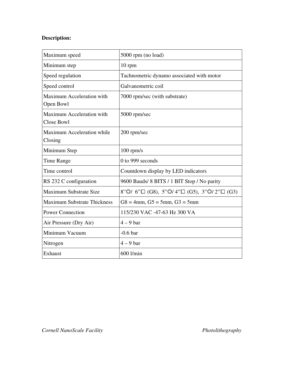### Description:

| Maximum speed                                  | 5000 rpm (no load)                                            |
|------------------------------------------------|---------------------------------------------------------------|
| Minimum step                                   | 10 rpm                                                        |
| Speed regulation                               | Tachnometric dynamo associated with motor                     |
| Speed control                                  | Galvanometric coil                                            |
| <b>Maximum Acceleration with</b><br>Open Bowl  | 7000 rpm/sec (with substrate)                                 |
| <b>Maximum Acceleration with</b><br>Close Bowl | 5000 rpm/sec                                                  |
| <b>Maximum Acceleration while</b><br>Closing   | 200 rpm/sec                                                   |
| Minimum Step                                   | $100$ rpm/s                                                   |
| Time Range                                     | 0 to 999 seconds                                              |
| Time control                                   | Countdown display by LED indicators                           |
| RS 232 C configuration                         | 9600 Bauds/ 8 BITS / 1 BIT Stop / No parity                   |
| <b>Maximum Substrate Size</b>                  | 8"O/ 6" $\Box$ (G8), 5"O/ 4" $\Box$ (G5), 3"O/ 2" $\Box$ (G3) |
| <b>Maximum Substrate Thickness</b>             | $G8 = 4$ mm, $G5 = 5$ mm, $G3 = 5$ mm                         |
| <b>Power Connection</b>                        | 115/230 VAC -47-63 Hz 300 VA                                  |
| Air Pressure (Dry Air)                         | $4 - 9$ bar                                                   |
| Minimum Vacuum                                 | $-0.6bar$                                                     |
| Nitrogen                                       | $4 - 9$ bar                                                   |
| Exhaust                                        | 600 l/min                                                     |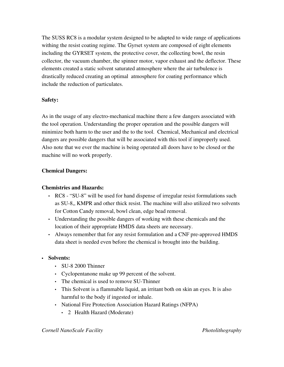The SUSS RC8 is a modular system designed to be adapted to wide range of applications withing the resist coating regime. The Gyrset system are composed of eight elements including the GYRSET system, the protective cover, the collecting bowl, the resin collector, the vacuum chamber, the spinner motor, vapor exhaust and the deflector. These elements created a static solvent saturated atmosphere where the air turbulence is drastically reduced creating an optimal atmosphere for coating performance which include the reduction of particulates.

#### Safety:

As in the usage of any electro-mechanical machine there a few dangers associated with the tool operation. Understanding the proper operation and the possible dangers will minimize both harm to the user and the to the tool. Chemical, Mechanical and electrical dangers are possible dangers that will be associated with this tool if improperly used. Also note that we ever the machine is being operated all doors have to be closed or the machine will no work properly.

#### Chemical Dangers:

#### Chemistries and Hazards:

- RC8 "SU-8" will be used for hand dispense of irregular resist formulations such as SU-8,, KMPR and other thick resist. The machine will also utilized two solvents for Cotton Candy removal, bowl clean, edge bead removal.
- Understanding the possible dangers of working with these chemicals and the location of their appropriate HMDS data sheets are necessary.
- Always remember that for any resist formulation and a CNF pre-approved HMDS data sheet is needed even before the chemical is brought into the building.
- Solvents:
	- SU-8 2000 Thinner
	- Cyclopentanone make up 99 percent of the solvent.
	- The chemical is used to remove SU-Thinner
	- This Solvent is a flammable liquid, an irritant both on skin an eyes. It is also harmful to the body if ingested or inhale.
	- National Fire Protection Association Hazard Ratings (NFPA)
		- 2 Health Hazard (Moderate)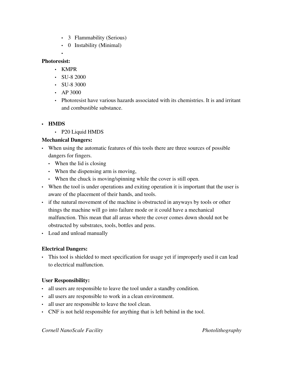- 3 Flammability (Serious)
- 0 Instability (Minimal)

#### Photoresist:

• KMPR

•

- SU-8 2000
- SU-8 3000
- AP 3000
- Photoresist have various hazards associated with its chemistries. It is and irritant and combustible substance.

#### • HMDS

• P20 Liquid HMDS

#### Mechanical Dangers:

- When using the automatic features of this tools there are three sources of possible dangers for fingers.
	- When the lid is closing
	- When the dispensing arm is moving,
	- When the chuck is moving/spinning while the cover is still open.
- When the tool is under operations and exiting operation it is important that the user is aware of the placement of their hands, and tools.
- if the natural movement of the machine is obstructed in anyways by tools or other things the machine will go into failure mode or it could have a mechanical malfunction. This mean that all areas where the cover comes down should not be obstructed by substrates, tools, bottles and pens.
- Load and unload manually

#### Electrical Dangers:

• This tool is shielded to meet specification for usage yet if improperly used it can lead to electrical malfunction.

#### User Responsibility:

- all users are responsible to leave the tool under a standby condition.
- all users are responsible to work in a clean environment.
- all user are responsible to leave the tool clean.
- CNF is not held responsible for anything that is left behind in the tool.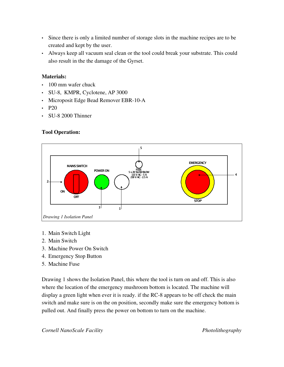- Since there is only a limited number of storage slots in the machine recipes are to be created and kept by the user.
- Always keep all vacuum seal clean or the tool could break your substrate. This could also result in the the damage of the Gyrset.

#### Materials:

- 100 mm wafer chuck
- SU-8, KMPR, Cyclotene, AP 3000
- Microposit Edge Bead Remover EBR-10-A
- $\cdot$  P<sub>20</sub>
- $\cdot$  SU-8 2000 Thinner

#### Tool Operation:



- 1. Main Switch Light
- 2. Main Switch
- 3. Machine Power On Switch
- 4. Emergency Stop Button
- 5. Machine Fuse

Drawing 1 shows the Isolation Panel, this where the tool is turn on and off. This is also where the location of the emergency mushroom bottom is located. The machine will display a green light when ever it is ready. if the RC-8 appears to be off check the main switch and make sure is on the on position, secondly make sure the emergency bottom is pulled out. And finally press the power on bottom to turn on the machine.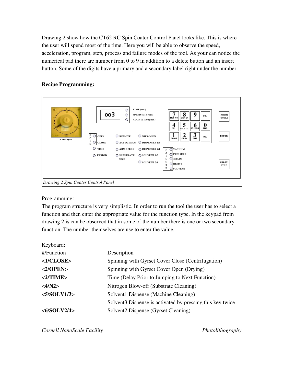Drawing 2 show how the CT62 RC Spin Coater Control Panel looks like. This is where the user will spend most of the time. Here you will be able to observe the speed, acceleration, program, step, process and failure modes of the tool. As your can notice the numerical pad there are number from 0 to 9 in addition to a delete button and an insert button. Some of the digits have a primary and a secondary label right under the number.

#### Recipe Programming:



#### Programming:

The program structure is very simplistic. In order to run the tool the user has to select a function and then enter the appropriate value for the function type. In the keypad from drawing 2 is can be observed that in some of the number there is one or two secondary function. The number themselves are use to enter the value.

| Keyboard:              |                                                                       |
|------------------------|-----------------------------------------------------------------------|
| #/Function             | Description                                                           |
| <1/CLOSE>              | Spinning with Gyrset Cover Close (Centrifugation)                     |
| $<2$ /OPEN>            | Spinning with Gyrset Cover Open (Drying)                              |
| <2/TIME                | Time (Delay Prior to Jumping to Next Function)                        |
| <4/N2>                 | Nitrogen Blow-off (Substrate Cleaning)                                |
| <5/SOLVI/3>            | Solvent1 Dispense (Machine Cleaning)                                  |
|                        | Solvent <sub>3</sub> Dispense is activated by pressing this key twice |
| $<\frac{6}{5}$ OLV2/4> | Solvent2 Dispense (Gyrset Cleaning)                                   |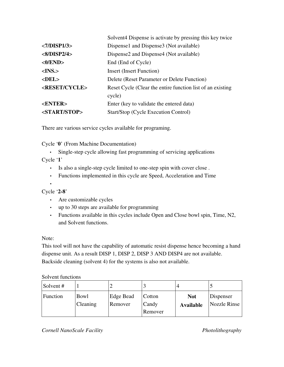|                          | Solvent 4 Dispense is activate by pressing this key twice  |  |
|--------------------------|------------------------------------------------------------|--|
| <7/DISP1/3>              | Dispense1 and Dispense3 (Not available)                    |  |
| $<\frac{8}{11}$ SP2/4>   | Dispense2 and Dispense4 (Not available)                    |  |
| <0/END>                  | End (End of Cycle)                                         |  |
| $<$ INS. $>$             | <b>Insert (Insert Function)</b>                            |  |
| $<$ DEL $>$              | Delete (Reset Parameter or Delete Function)                |  |
| <reset cycle=""></reset> | Reset Cycle (Clear the entire function list of an existing |  |
|                          | cycle)                                                     |  |
| <enter></enter>          | Enter (key to validate the entered data)                   |  |
| <start stop=""></start>  | Start/Stop (Cycle Execution Control)                       |  |

There are various service cycles available for programing.

Cycle '0' (From Machine Documentation)

• Single-step cycle allowing fast programming of servicing applications

Cycle '1'

- Is also a single-step cycle limited to one-step spin with cover close.
- Functions implemented in this cycle are Speed, Acceleration and Time

• Cycle  $2-8$ 

- Are customizable cycles
- up to 30 steps are available for programming
- Functions available in this cycles include Open and Close bowl spin, Time, N2, and Solvent functions.

Note:

This tool will not have the capability of automatic resist dispense hence becoming a hand dispense unit. As a result DISP 1, DISP 2, DISP 3 AND DISP4 are not available. Backside cleaning (solvent 4) for the systems is also not available.

#### Solvent functions

| Solvent # |                  |                      |                            |                                |                           |
|-----------|------------------|----------------------|----------------------------|--------------------------------|---------------------------|
| Function  | Bowl<br>Cleaning | Edge Bead<br>Remover | Cotton<br>Candy<br>Remover | <b>Not</b><br><b>Available</b> | Dispenser<br>Nozzle Rinse |